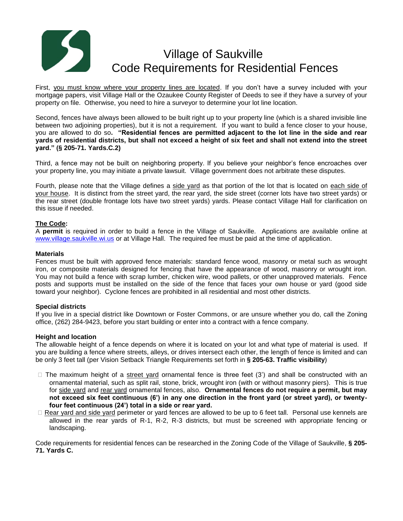# Village of Saukville Code Requirements for Residential Fences

First, you must know where your property lines are located. If you don't have a survey included with your mortgage papers, visit Village Hall or the Ozaukee County Register of Deeds to see if they have a survey of your property on file. Otherwise, you need to hire a surveyor to determine your lot line location.

Second, fences have always been allowed to be built right up to your property line (which is a shared invisible line between two adjoining properties), but it is not a requirement. If you want to build a fence closer to your house, you are allowed to do so**. "Residential fences are permitted adjacent to the lot line in the side and rear yards of residential districts, but shall not exceed a height of six feet and shall not extend into the street yard." (§ 205-71. Yards.C.2)**

Third, a fence may not be built on neighboring property. If you believe your neighbor's fence encroaches over your property line, you may initiate a private lawsuit. Village government does not arbitrate these disputes.

Fourth, please note that the Village defines a side yard as that portion of the lot that is located on each side of your house. It is distinct from the street yard, the rear yard, the side street (corner lots have two street yards) or the rear street (double frontage lots have two street yards) yards. Please contact Village Hall for clarification on this issue if needed.

## **The Code:**

A **permit** is required in order to build a fence in the Village of Saukville. Applications are available online at [www.village.saukville.wi.us](http://www.village.saukville.wi.us/) or at Village Hall. The required fee must be paid at the time of application.

### **Materials**

Fences must be built with approved fence materials: standard fence wood, masonry or metal such as wrought iron, or composite materials designed for fencing that have the appearance of wood, masonry or wrought iron. You may not build a fence with scrap lumber, chicken wire, wood pallets, or other unapproved materials. Fence posts and supports must be installed on the side of the fence that faces your own house or yard (good side toward your neighbor). Cyclone fences are prohibited in all residential and most other districts.

### **Special districts**

If you live in a special district like Downtown or Foster Commons, or are unsure whether you do, call the Zoning office, (262) 284-9423, before you start building or enter into a contract with a fence company.

### **Height and location**

The allowable height of a fence depends on where it is located on your lot and what type of material is used. If you are building a fence where streets, alleys, or drives intersect each other, the length of fence is limited and can be only 3 feet tall (per Vision Setback Triangle Requirements set forth in **§ 205-63. Traffic visibility**)

- $\Box$  The maximum height of a street yard ornamental fence is three feet (3') and shall be constructed with an ornamental material, such as split rail, stone, brick, wrought iron (with or without masonry piers). This is true for side yard and rear yard ornamental fences, also. **Ornamental fences do not require a permit, but may not exceed six feet continuous (6') in any one direction in the front yard (or street yard), or twentyfour feet continuous (24') total in a side or rear yard.**
- Rear yard and side yard perimeter or yard fences are allowed to be up to 6 feet tall. Personal use kennels are allowed in the rear yards of R-1, R-2, R-3 districts, but must be screened with appropriate fencing or landscaping.

Code requirements for residential fences can be researched in the Zoning Code of the Village of Saukville, **§ 205- 71. Yards C.**